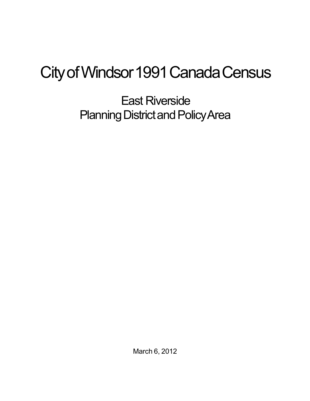## City of Windsor 1991 Canada Census

East Riverside Planning District and Policy Area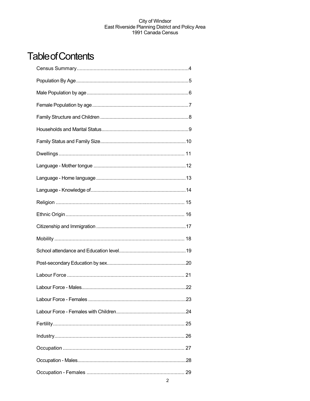## **Table of Contents**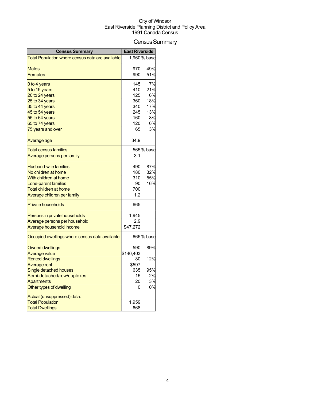## Census Summary

| <b>Census Summary</b>                            | <b>East Riverside</b> |              |
|--------------------------------------------------|-----------------------|--------------|
| Total Population where census data are available |                       | 1,960 % base |
|                                                  |                       |              |
| <b>Males</b>                                     | 970                   | 49%          |
| Females                                          | 990                   | 51%          |
| 0 to 4 years                                     | 145                   | 7%           |
| 5 to 19 years                                    | 410                   | 21%          |
| 20 to 24 years                                   | 125                   | 6%           |
| 25 to 34 years                                   | 360                   | 18%          |
| 35 to 44 years                                   | 340                   | 17%          |
| 45 to 54 years                                   | 245                   | 13%          |
| 55 to 64 years                                   | 160                   | 8%           |
| 65 to 74 years                                   | 120                   | 6%           |
| 75 years and over                                | 65                    | 3%           |
| Average age                                      | 34.9                  |              |
| <b>Total census families</b>                     |                       | 565 % base   |
| Average persons per family                       | 3.1                   |              |
|                                                  |                       |              |
| <b>Husband-wife families</b>                     | 490                   | 87%          |
| No children at home                              | 180                   | 32%          |
| With children at home                            | 310                   | 55%          |
| Lone-parent families                             | 90                    | 16%          |
| Total children at home                           | 700                   |              |
| Average children per family                      | 1.2                   |              |
| <b>Private households</b>                        | 665                   |              |
| Persons in private households                    | 1,945                 |              |
| Average persons per household                    | 2.9                   |              |
| Average household income                         | \$47,272              |              |
| Occupied dwellings where census data available   |                       | 665 % base   |
|                                                  |                       |              |
| <b>Owned dwellings</b>                           | 590                   | 89%          |
| <b>Average value</b>                             | \$140,403             |              |
| <b>Rented dwellings</b><br>Average rent          | 80<br>\$597           | 12%          |
| Single detached houses                           | 635                   | 95%          |
| Semi-detached/row/duplexes                       | 15                    | 2%           |
| Apartments                                       | 20                    | 3%           |
| Other types of dwelling                          | 0                     | 0%           |
| Actual (unsuppressed) data:                      |                       |              |
| <b>Total Population</b>                          | 1,959                 |              |
| <b>Total Dwellings</b>                           | 668                   |              |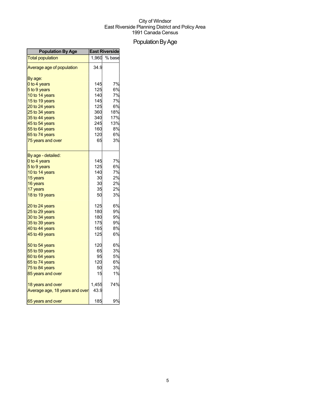## Population By Age

| <b>Population By Age</b>       | <b>East Riverside</b> |        |
|--------------------------------|-----------------------|--------|
| <b>Total population</b>        | 1,960                 | % base |
| Average age of population      | 34.9                  |        |
| By age:                        |                       |        |
| 0 to 4 years                   | 145                   | 7%     |
| 5 to 9 years                   | 125                   | 6%     |
| 10 to 14 years                 | 140                   | 7%     |
| 15 to 19 years                 | 145                   | 7%     |
| 20 to 24 years                 | 125                   | 6%     |
| 25 to 34 years                 | 360l                  | 18%    |
| 35 to 44 years                 | 340                   | 17%    |
| 45 to 54 years                 | 245                   | 13%    |
| 55 to 64 years                 | 160                   | 8%     |
| 65 to 74 years                 | 120                   | 6%     |
| 75 years and over              | 65                    | 3%     |
| By age - detailed:             |                       |        |
| 0 to 4 years                   | 145                   | 7%     |
| 5 to 9 years                   | 125                   | 6%     |
| 10 to 14 years                 | 140                   | 7%     |
| 15 years                       | 30                    | 2%     |
| 16 years                       | 30                    | 2%     |
| 17 years                       | 35                    | 2%     |
| 18 to 19 years                 | 50                    | 3%     |
| 20 to 24 years                 | 125                   | 6%     |
| 25 to 29 years                 | 180                   | 9%     |
| 30 to 34 years                 | 180                   | 9%     |
| 35 to 39 years                 | 175                   | 9%     |
| 40 to 44 years                 | 165                   | 8%     |
| 45 to 49 years                 | 125                   | 6%     |
| 50 to 54 years                 | 120                   | 6%     |
| 55 to 59 years                 | 65                    | 3%     |
| 60 to 64 years                 | 95                    | 5%     |
| 65 to 74 years                 | 120                   | 6%     |
| 75 to 84 years                 | 50                    | 3%     |
| 85 years and over              | 15                    | 1%     |
| 18 years and over              | 1,455                 | 74%    |
| Average age, 18 years and over | 43.9                  |        |
| 65 years and over              | 185                   | 9%     |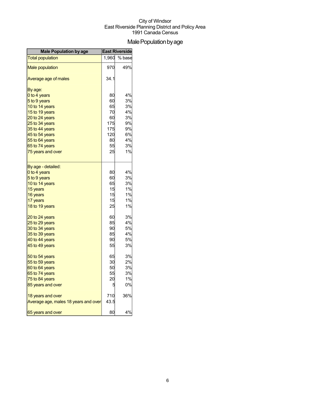## Male Population by age

| <b>Male Population by age</b>        | <b>East Riverside</b> |        |
|--------------------------------------|-----------------------|--------|
| <b>Total population</b>              | 1,960                 | % base |
| <b>Male population</b>               | 970                   | 49%    |
| Average age of males                 | 34.1                  |        |
| By age:                              |                       |        |
| 0 to 4 years                         | 80                    | 4%     |
| 5 to 9 years                         | 60                    | 3%     |
| 10 to 14 years                       | 65                    | 3%     |
| 15 to 19 years                       | 70                    | 4%     |
| 20 to 24 years                       | 60                    | 3%     |
| 25 to 34 years                       | 175                   | 9%     |
| 35 to 44 years                       | 175                   | 9%     |
| 45 to 54 years                       | 120                   | 6%     |
| 55 to 64 years                       | 80                    | 4%     |
| 65 to 74 years                       | 55                    | 3%     |
| 75 years and over                    | 25                    | 1%     |
| By age - detailed:                   |                       |        |
| 0 to 4 years                         | 80                    | 4%     |
| 5 to 9 years                         | 60                    | 3%     |
| 10 to 14 years                       | 65                    | 3%     |
| 15 years                             | 15                    | 1%     |
| 16 years                             | 15                    | 1%     |
| 17 years                             | 15                    | 1%     |
| 18 to 19 years                       | 25                    | 1%     |
| 20 to 24 years                       | 60                    | 3%     |
| 25 to 29 years                       | 85                    | 4%     |
| 30 to 34 years                       | 90                    | 5%     |
| 35 to 39 years                       | 85                    | 4%     |
| 40 to 44 years                       | 90                    | 5%     |
| 45 to 49 years                       | 55                    | 3%     |
| 50 to 54 years                       | 65                    | 3%     |
| 55 to 59 years                       | 30                    | 2%     |
| 60 to 64 years                       | 50                    | 3%     |
| 65 to 74 years                       | 55                    | 3%     |
| 75 to 84 years                       | 20                    | 1%     |
| 85 years and over                    |                       | 0%     |
| 18 years and over                    | 710                   | 36%    |
| Average age, males 18 years and over | 43.5                  |        |
| 65 years and over                    | 80                    | 4%     |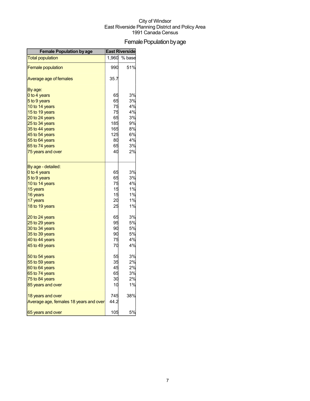## Female Population by age

| <b>Female Population by age</b>        | <b>East Riverside</b> |        |
|----------------------------------------|-----------------------|--------|
| <b>Total population</b>                | 1,960                 | % base |
| <b>Female population</b>               | 990                   | 51%    |
| Average age of females                 | 35.7                  |        |
| By age:                                |                       |        |
| 0 to 4 years                           | 65                    | 3%     |
| 5 to 9 years                           | 65                    | 3%     |
| 10 to 14 years                         | 75                    | 4%     |
| 15 to 19 years                         | 75                    | 4%     |
| 20 to 24 years                         | 65                    | 3%     |
| 25 to 34 years                         | 185                   | 9%     |
| 35 to 44 years                         | 165                   | 8%     |
| 45 to 54 years                         | 125                   | 6%     |
| 55 to 64 years                         | 80                    | 4%     |
| 65 to 74 years                         | 65                    | 3%     |
| 75 years and over                      | 40                    | 2%     |
| By age - detailed:                     |                       |        |
| 0 to 4 years                           | 65                    | 3%     |
| 5 to 9 years                           | 65                    | 3%     |
| 10 to 14 years                         | 75                    | 4%     |
| 15 years                               | 15                    | 1%     |
| 16 years                               | 15                    | 1%     |
| 17 years                               | 20                    | 1%     |
| 18 to 19 years                         | 25                    | 1%     |
| 20 to 24 years                         | 65                    | 3%     |
| 25 to 29 years                         | 95                    | 5%     |
| 30 to 34 years                         | 90                    | 5%     |
| 35 to 39 years                         | 90                    | 5%     |
| 40 to 44 years                         | 75                    | 4%     |
| 45 to 49 years                         | 70                    | 4%     |
| 50 to 54 years                         | 55                    | 3%     |
| 55 to 59 years                         | 35                    | 2%     |
| 60 to 64 years                         | 45                    | 2%     |
| 65 to 74 years                         | 65                    | 3%     |
| 75 to 84 years                         | ЗС                    | 2%     |
| 85 years and over                      | 10                    | 1%     |
| 18 years and over                      | 745                   | 38%    |
| Average age, females 18 years and over | 44.2                  |        |
| 65 years and over                      | 105                   | 5%     |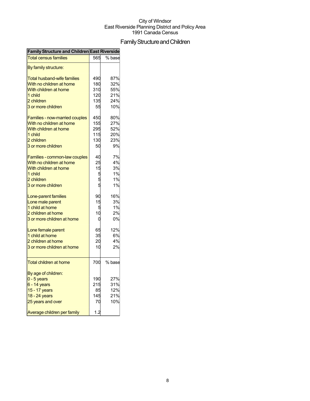## FamilyStructureandChildren

| Family Structure and Children East Riverside |     |        |
|----------------------------------------------|-----|--------|
| <b>Total census families</b>                 | 565 | % base |
| By family structure:                         |     |        |
| <b>Total husband-wife families</b>           | 490 | 87%    |
| With no children at home                     | 180 | 32%    |
| With children at home                        | 310 | 55%    |
| 1 child                                      | 120 | 21%    |
| 2 children                                   | 135 | 24%    |
| 3 or more children                           | 55  | 10%    |
| <b>Families - now-married couples</b>        | 450 | 80%    |
| With no children at home                     | 155 | 27%    |
| With children at home                        | 295 | 52%    |
| 1 child                                      | 115 | 20%    |
| 2 children                                   | 130 | 23%    |
| 3 or more children                           | 50  | 9%     |
| Families - common-law couples                | 40  | 7%     |
| With no children at home                     | 25  | 4%     |
| With children at home                        | 15  | 3%     |
| 1 child                                      | 5   | 1%     |
| 2 children                                   |     | 1%     |
| 3 or more children                           | 5   | 1%     |
| Lone-parent families                         | 90  | 16%    |
| Lone male parent                             | 15  | 3%     |
| 1 child at home                              | 5   | 1%     |
| 2 children at home                           | 10  | 2%     |
| 3 or more children at home                   | 0   | 0%     |
| Lone female parent                           | 65  | 12%    |
| 1 child at home                              | 35  | 6%     |
| 2 children at home                           | 20  | 4%     |
| 3 or more children at home                   | 10  | 2%     |
| <b>Total children at home</b>                | 700 | % base |
| By age of children:                          |     |        |
| $0 - 5$ years                                | 190 | 27%    |
| $6 - 14$ years                               | 215 | 31%    |
| 15 - 17 years                                | 85  | 12%    |
| 18 - 24 years                                | 145 | 21%    |
| 25 years and over                            | 70  | 10%    |
|                                              |     |        |
| Average children per family                  | 1.2 |        |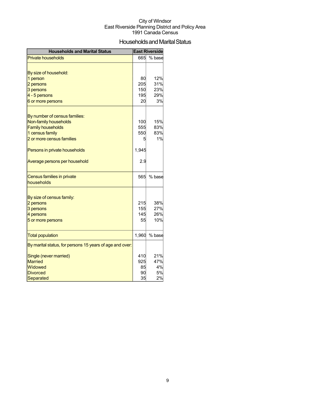## Households and Marital Status

| <b>Households and Marital Status</b>                     |            | <b>East Riverside</b> |
|----------------------------------------------------------|------------|-----------------------|
| <b>Private households</b>                                | 665        | % base                |
|                                                          |            |                       |
| By size of household:                                    |            |                       |
| 1 person                                                 | 80         | 12%                   |
| 2 persons                                                | 205        | 31%                   |
| 3 persons                                                | 150        | 23%                   |
| 4 - 5 persons                                            | 195        | 29%                   |
| 6 or more persons                                        | 20         | 3%                    |
|                                                          |            |                       |
| By number of census families:                            |            |                       |
| Non-family households                                    | 100        | 15%                   |
| <b>Family households</b>                                 | 555        | 83%                   |
| 1 census family                                          | 550        | 83%                   |
| 2 or more census families                                | 5          | 1%                    |
| Persons in private households                            | 1,945      |                       |
| Average persons per household                            | 2.9        |                       |
| Census families in private                               | 565        | % base                |
| households                                               |            |                       |
|                                                          |            |                       |
| By size of census family:                                |            |                       |
| 2 persons                                                | 215<br>155 | 38%<br>27%            |
| 3 persons<br>4 persons                                   | 145        | 26%                   |
| 5 or more persons                                        | 55         | 10%                   |
|                                                          |            |                       |
| <b>Total population</b>                                  | 1,960      | % base                |
| By marital status, for persons 15 years of age and over: |            |                       |
| Single (never married)                                   | 410        | 21%                   |
| <b>Married</b>                                           | 925        | 47%                   |
| Widowed                                                  | 85         | 4%                    |
| <b>Divorced</b>                                          | 90         | 5%                    |
| <b>Separated</b>                                         | 35         | 2%                    |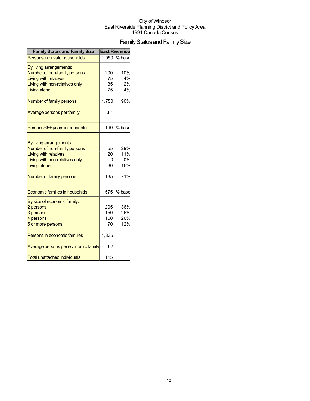## Family Status and Family Size

| <b>Family Status and Family Size</b>           |       | <b>East Riverside</b> |
|------------------------------------------------|-------|-----------------------|
| Persons in private households                  | 1.950 | % base                |
| By living arrangements:                        |       |                       |
| Number of non-family persons                   | 200   | 10%                   |
| Living with relatives                          | 75    | 4%                    |
| Living with non-relatives only                 | 35    | 2%                    |
| Living alone                                   | 75    | 4%                    |
| Number of family persons                       | 1,750 | 90%                   |
| Average persons per family                     | 3.1   |                       |
| Persons 65+ years in househlds                 | 190   | % base                |
|                                                |       |                       |
| By living arrangements:                        |       |                       |
| Number of non-family persons                   | 55    | 29%                   |
| <b>Living with relatives</b>                   | 20    | 11%<br>0%             |
| Living with non-relatives only<br>Living alone | 30    | 16%                   |
|                                                |       |                       |
| Number of family persons                       | 135   | 71%                   |
| Economic families in househlds                 | 575   | % base                |
| By size of economic family:                    |       |                       |
| 2 persons                                      | 205   | 36%                   |
| 3 persons                                      | 150   | 26%                   |
| 4 persons                                      | 150   | 26%                   |
| 5 or more persons                              | 70    | 12%                   |
| Persons in economic families                   | 1,835 |                       |
| Average persons per economic family            | 3.2   |                       |
| <b>Total unattached individuals</b>            | 115   |                       |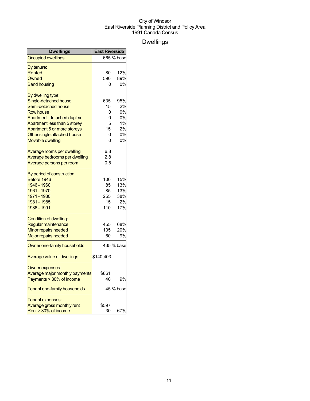## Dwellings

| <b>Dwellings</b>                    | <b>East Riverside</b> |            |
|-------------------------------------|-----------------------|------------|
| <b>Occupied dwellings</b>           |                       | 665 % base |
| By tenure:                          |                       |            |
| Rented                              | 80                    | 12%        |
| Owned                               | 590                   | 89%        |
| <b>Band housing</b>                 | 0                     | 0%         |
| By dwelling type:                   |                       |            |
| Single-detached house               | 635                   | 95%        |
| Semi-detached house                 | 15                    | 2%         |
| <b>Row house</b>                    | 0                     | 0%         |
| Apartment, detached duplex          |                       | 0%         |
| Apartment less than 5 storey        |                       | 1%         |
| Apartment 5 or more storeys         | 15                    | 2%         |
| Other single attached house         | 0                     | 0%         |
| <b>Movable dwelling</b>             | O                     | 0%         |
| Average rooms per dwelling          | 6.8                   |            |
| Average bedrooms per dwelling       | 2.8                   |            |
| Average persons per room            | 0.5                   |            |
| By period of construction           |                       |            |
| Before 1946                         | 100                   | 15%        |
| 1946 - 1960                         | 85                    | 13%        |
| 1961 - 1970                         | 85                    | 13%        |
| 1971 - 1980                         | 255                   | 38%        |
| 1981 - 1985                         | 15                    | 2%         |
| 1986 - 1991                         | 110                   | 17%        |
| Condition of dwelling:              |                       |            |
| Regular maintenance                 | 455                   | 68%        |
| Minor repairs needed                | 135                   | 20%        |
| Major repairs needed                | 60                    | 9%         |
| Owner one-family households         |                       | 435 % base |
| Average value of dwellings          | \$140,403             |            |
| Owner expenses:                     |                       |            |
| Average major monthly payments      | \$861                 |            |
| Payments > 30% of income            | 40                    | 9%         |
| <b>Tenant one-family households</b> |                       | 45 % base  |
| Tenant expenses:                    |                       |            |
| Average gross monthly rent          | \$597                 |            |
| Rent > 30% of income                | 30                    | 67%        |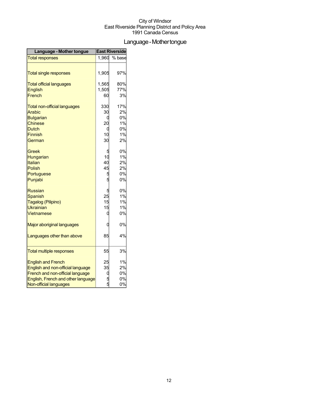## Language-Mothertongue

| Language - Mother tongue            | <b>East Riverside</b> |        |
|-------------------------------------|-----------------------|--------|
| <b>Total responses</b>              | 1,960                 | % base |
| <b>Total single responses</b>       | 1,905                 | 97%    |
| <b>Total official languages</b>     | 1,565                 | 80%    |
| English                             | 1,505                 | 77%    |
| French                              | 60                    | 3%     |
| <b>Total non-official languages</b> | 330                   | 17%    |
| Arabic                              | 30                    | 2%     |
| <b>Bulgarian</b>                    | C                     | 0%     |
| <b>Chinese</b>                      | 20                    | 1%     |
| <b>Dutch</b>                        | 0                     | 0%     |
| Finnish                             | 10                    | 1%     |
| German                              | 30                    | 2%     |
| Greek                               | 5                     | 0%     |
| Hungarian                           | 10                    | 1%     |
| Italian                             | 40                    | 2%     |
| Polish                              | 45                    | 2%     |
| Portuguese                          | 5                     | 0%     |
| Punjabi                             | 5                     | 0%     |
| <b>Russian</b>                      | 5                     | 0%     |
| <b>Spanish</b>                      | 25                    | 1%     |
| Tagalog (Pilipino)                  | 15                    | 1%     |
| <b>Ukrainian</b>                    | 15                    | 1%     |
| Vietnamese                          | 0                     | 0%     |
| <b>Major aboriginal languages</b>   | 0                     | 0%     |
| Languages other than above          | 85                    | 4%     |
| <b>Total multiple responses</b>     | 55                    | 3%     |
| <b>English and French</b>           | 25                    | 1%     |
| English and non-official language   | 35                    | 2%     |
| French and non-official language    | C                     | 0%     |
| English, French and other language  | 5<br>5                | 0%     |
| Non-official languages              |                       | 0%     |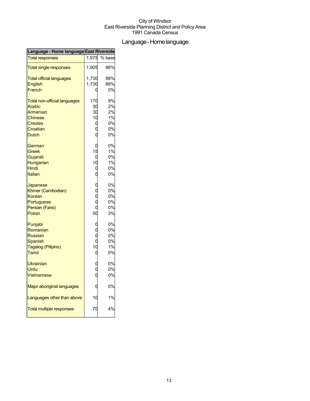## Language-Homelanguage

| Language - Home language East Riverside |       |        |
|-----------------------------------------|-------|--------|
| <b>Total responses</b>                  | 1,975 | % base |
| <b>Total single responses</b>           | 1,905 | 96%    |
| <b>Total official languages</b>         | 1,730 | 88%    |
| <b>English</b>                          | 1,730 | 88%    |
| French                                  |       | 0%     |
| <b>Total non-official languages</b>     | 170   | 9%     |
| Arabic                                  | 30    | 2%     |
| Armenian                                | 30    | 2%     |
| Chinese                                 | 10    | 1%     |
| <b>Creoles</b>                          | 0     | 0%     |
| Croatian                                |       | 0%     |
| Dutch                                   |       | 0%     |
| German                                  | C     | 0%     |
| Greek                                   | 15    | 1%     |
| Gujarati                                |       | 0%     |
| Hungarian                               | 10    | 1%     |
| Hindi                                   | 0     | 0%     |
| Italian                                 |       | 0%     |
| Japanese                                |       | 0%     |
| Khmer (Cambodian)                       |       | 0%     |
| Korean                                  |       | 0%     |
| Portuguese                              |       | 0%     |
| Persian (Farsi)                         |       | 0%     |
| Polish                                  | 50    | 3%     |
| Punjabi                                 |       | 0%     |
| Romanian                                |       | 0%     |
| <b>Russian</b>                          |       | 0%     |
| Spanish                                 |       | 0%     |
| Tagalog (Pilipino)                      | 10    | 1%     |
| <b>Tamil</b>                            | C     | 0%     |
| <b>Ukrainian</b>                        |       | 0%     |
| Urdu                                    |       | 0%     |
| Vietnamese                              |       | 0%     |
| Major aboriginal languages              |       | 0%     |
| Languages other than above              | 10    | 1%     |
| <b>Total multiple responses</b>         | 70    | 4%     |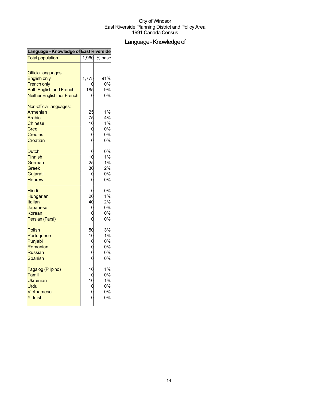## Language - Knowledge of

| Language - Knowledge of East Riverside |                   |        |  |
|----------------------------------------|-------------------|--------|--|
| <b>Total population</b>                | 1,960             | % base |  |
| <b>Official languages:</b>             |                   |        |  |
| <b>English only</b>                    | 1,775             | 91%    |  |
| <b>French only</b>                     |                   | 0%     |  |
| <b>Both English and French</b>         | 185               | 9%     |  |
| <b>Neither English nor French</b>      |                   | 0%     |  |
| Non-official languages:                |                   |        |  |
| Armenian                               | 25                | 1%     |  |
| Arabic                                 | 75                | 4%     |  |
| <b>Chinese</b>                         | 10                | 1%     |  |
| Cree                                   | 0                 | 0%     |  |
| <b>Creoles</b>                         | $\mathbf 0$       | 0%     |  |
| Croatian                               |                   | 0%     |  |
| <b>Dutch</b>                           | 0                 | 0%     |  |
| <b>Finnish</b>                         | 10                | 1%     |  |
| German                                 | 25                | 1%     |  |
| Greek                                  | 30                | 2%     |  |
| Gujarati                               | 0                 | 0%     |  |
| <b>Hebrew</b>                          | 0                 | 0%     |  |
| Hindi                                  | C                 | 0%     |  |
| Hungarian                              | 20                | 1%     |  |
| Italian                                | 40                | 2%     |  |
| Japanese                               | 0                 | 0%     |  |
| Korean                                 | 0                 | 0%     |  |
| Persian (Farsi)                        |                   | 0%     |  |
| Polish                                 | 50                | 3%     |  |
| Portuguese                             | 10                | 1%     |  |
| Punjabi                                | d                 | 0%     |  |
| Romanian                               | 0<br>0            | 0%     |  |
| <b>Russian</b>                         |                   | 0%     |  |
| Spanish                                | $\ddot{\text{o}}$ | 0%     |  |
| Tagalog (Pilipino)                     | 10                | 1%     |  |
| Tamil                                  | 0                 | 0%     |  |
| Ukrainian                              | 10                | 1%     |  |
| Urdu                                   | $\mathbf{0}$      | 0%     |  |
| Vietnamese                             | $\overline{0}$    | 0%     |  |
| Yiddish                                |                   | 0%     |  |
|                                        |                   |        |  |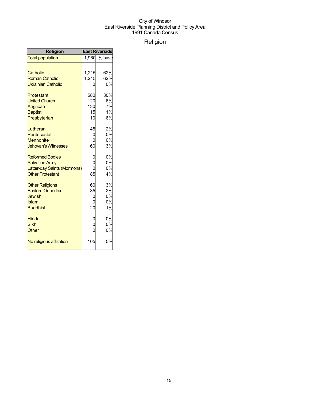## Religion

| <b>Religion</b>             | <b>East Riverside</b> |        |
|-----------------------------|-----------------------|--------|
| <b>Total population</b>     | 1,960                 | % base |
|                             |                       |        |
| Catholic                    | 1,215                 | 62%    |
| <b>Roman Catholic</b>       | 1,215                 | 62%    |
| <b>Ukrainian Catholic</b>   |                       | 0%     |
| Protestant                  | 580                   | 30%    |
| <b>United Church</b>        | 120                   | 6%     |
| Anglican                    | 130                   | 7%     |
| <b>Baptist</b>              | 15                    | 1%     |
| Presbyterian                | 110                   | 6%     |
| Lutheran                    | 45                    | 2%     |
| Pentecostal                 | 0                     | 0%     |
| <b>Mennonite</b>            | 0                     | 0%     |
| <b>Jehovah's Witnesses</b>  | 60                    | 3%     |
| <b>Reformed Bodies</b>      | 0                     | 0%     |
| <b>Salvation Army</b>       | $\overline{0}$        | 0%     |
| Latter-day Saints (Mormons) |                       | 0%     |
| <b>Other Protestant</b>     | 85                    | 4%     |
| <b>Other Religions</b>      | 60                    | 3%     |
| <b>Eastern Orthodox</b>     | 35                    | 2%     |
| Jewish                      | 0                     | 0%     |
| <b>Islam</b>                | 0                     | 0%     |
| <b>Buddhist</b>             | 20                    | 1%     |
| Hindu                       | 0                     | 0%     |
| <b>Sikh</b>                 | O                     | 0%     |
| Other                       | Ó                     | 0%     |
| No religious affiliation    | 105                   | 5%     |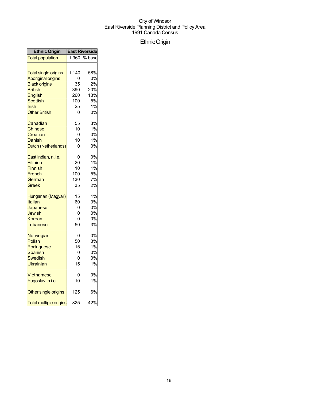## EthnicOrigin

| <b>Ethnic Origin</b>                                                                                                                                       |                                             | <b>East Riverside</b>                           |
|------------------------------------------------------------------------------------------------------------------------------------------------------------|---------------------------------------------|-------------------------------------------------|
| <b>Total population</b>                                                                                                                                    | 1,960                                       | % base                                          |
| <b>Total single origins</b><br><b>Aboriginal origins</b><br><b>Black origins</b><br><b>British</b><br>English<br>Scottish<br>Irish<br><b>Other British</b> | 1,140<br>35<br>390<br>260<br>100<br>25<br>0 | 58%<br>0%<br>2%<br>20%<br>13%<br>5%<br>1%<br>0% |
| Canadian                                                                                                                                                   | 55                                          | 3%                                              |
| Chinese                                                                                                                                                    | 10                                          | 1%                                              |
| Croatian                                                                                                                                                   | 0                                           | 0%                                              |
| Danish                                                                                                                                                     | 10                                          | 1%                                              |
| Dutch (Netherlands)                                                                                                                                        | 0                                           | 0%                                              |
| East Indian, n.i.e.                                                                                                                                        | 0                                           | 0%                                              |
| Filipino                                                                                                                                                   | 20                                          | 1%                                              |
| <b>Finnish</b>                                                                                                                                             | 10                                          | 1%                                              |
| French                                                                                                                                                     | 100                                         | 5%                                              |
| German                                                                                                                                                     | 130                                         | 7%                                              |
| Greek                                                                                                                                                      | 35                                          | 2%                                              |
| Hungarian (Magyar)                                                                                                                                         | 15                                          | 1%                                              |
| Italian                                                                                                                                                    | 60                                          | 3%                                              |
| Japanese                                                                                                                                                   | 0                                           | 0%                                              |
| <b>Jewish</b>                                                                                                                                              | 0                                           | 0%                                              |
| Korean                                                                                                                                                     | 0                                           | 0%                                              |
| Lebanese                                                                                                                                                   | 50                                          | 3%                                              |
| Norwegian                                                                                                                                                  | 0                                           | 0%                                              |
| Polish                                                                                                                                                     | 50                                          | 3%                                              |
| Portuguese                                                                                                                                                 | 15                                          | 1%                                              |
| Spanish                                                                                                                                                    | 0                                           | 0%                                              |
| Swedish                                                                                                                                                    | 0                                           | 0%                                              |
| Ukrainian                                                                                                                                                  | 15                                          | 1%                                              |
| Vietnamese                                                                                                                                                 | 0                                           | 0%                                              |
| Yugoslav, n.i.e.                                                                                                                                           | 10                                          | 1%                                              |
| Other single origins                                                                                                                                       | 125                                         | 6%                                              |
| <b>Total multiple origins</b>                                                                                                                              | 825                                         | 42%                                             |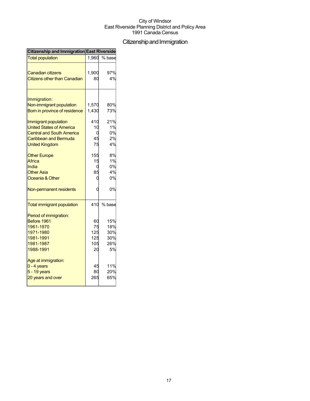## Citizenship and Immigration

| <b>Citizenship and Immigration East Riverside</b>               |             |           |  |
|-----------------------------------------------------------------|-------------|-----------|--|
| <b>Total population</b>                                         | 1,960       | % base    |  |
| <b>Canadian citizens</b><br><b>Citizens other than Canadian</b> | 1,900<br>80 | 97%<br>4% |  |
|                                                                 |             |           |  |
| Immigration:                                                    |             |           |  |
| Non-immigrant population                                        | 1,570       | 80%       |  |
| Born in province of residence                                   | 1,430       | 73%       |  |
| Immigrant population                                            | 410         | 21%       |  |
| <b>United States of America</b>                                 | 10          | 1%        |  |
| <b>Central and South America</b>                                |             | 0%        |  |
| Caribbean and Bermuda                                           | 45          | 2%        |  |
| <b>United Kingdom</b>                                           | 75          | 4%        |  |
| <b>Other Europe</b>                                             | 155         | 8%        |  |
| Africa                                                          | 15          | 1%        |  |
| India                                                           | C           | 0%        |  |
| <b>Other Asia</b>                                               | 85          | 4%        |  |
| Oceania & Other                                                 |             | 0%        |  |
| Non-permanent residents                                         | C           | 0%        |  |
| <b>Total immigrant population</b>                               | 410         | % base    |  |
| Period of immigration:                                          |             |           |  |
| Before 1961                                                     | 60          | 15%       |  |
| 1961-1970                                                       | 75          | 18%       |  |
| 1971-1980                                                       | 125         | 30%       |  |
| 1981-1991                                                       | 125         | 30%       |  |
| 1981-1987                                                       | 105         | 26%       |  |
| 1988-1991                                                       | 20          | 5%        |  |
| Age at immigration:                                             |             |           |  |
| 0 - 4 years                                                     | 45          | 11%       |  |
| 5 - 19 years                                                    | 80          | 20%       |  |
| 20 years and over                                               | 265         | 65%       |  |
|                                                                 |             |           |  |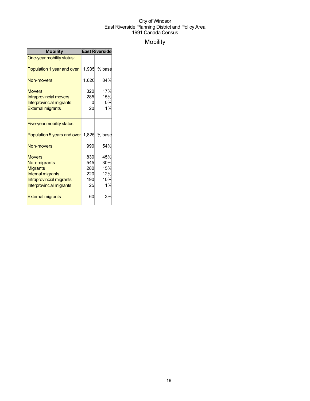## Mobility

| <b>Mobility</b>                                                                                                                      | <b>East Riverside</b>                 |                                       |
|--------------------------------------------------------------------------------------------------------------------------------------|---------------------------------------|---------------------------------------|
| One-year mobility status:                                                                                                            |                                       |                                       |
| Population 1 year and over                                                                                                           | 1,935                                 | % base                                |
| Non-movers                                                                                                                           | 1,620                                 | 84%                                   |
| <b>Movers</b><br><b>Intraprovincial movers</b><br><b>Interprovincial migrants</b><br><b>External migrants</b>                        | 320<br>285<br>O<br>20                 | 17%<br>15%<br>0%<br>1%                |
| Five-year mobility status:                                                                                                           |                                       |                                       |
| Population 5 years and over                                                                                                          | 1,825                                 | % base                                |
| Non-movers                                                                                                                           | 990                                   | 54%                                   |
| <b>Movers</b><br>Non-migrants<br><b>Migrants</b><br>Internal migrants<br>Intraprovincial migrants<br><b>Interprovincial migrants</b> | 830<br>545<br>280<br>220<br>190<br>25 | 45%<br>30%<br>15%<br>12%<br>10%<br>1% |
| <b>External migrants</b>                                                                                                             | 60                                    | 3%                                    |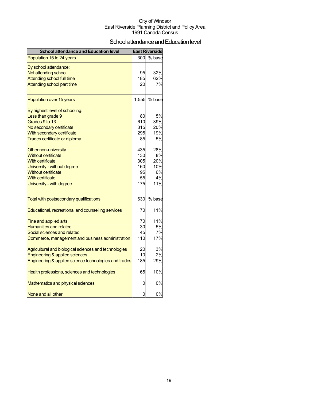## School attendance and Education level

| <b>School attendance and Education level</b>          |       | <b>East Riverside</b> |
|-------------------------------------------------------|-------|-----------------------|
| Population 15 to 24 years                             | 300   | % base                |
| By school attendance:                                 |       |                       |
| Not attending school                                  | 95    | 32%                   |
| <b>Attending school full time</b>                     | 185   | 62%                   |
| Attending school part time                            | 20    | 7%                    |
| Population over 15 years                              | 1,555 | % base                |
| By highest level of schooling:                        |       |                       |
| Less than grade 9                                     | 80    | 5%                    |
| Grades 9 to 13                                        | 610   | 39%                   |
| No secondary certificate                              | 315   | 20%                   |
| With secondary certificate                            | 295   | 19%                   |
| Trades certificate or diploma                         | 85    | 5%                    |
| Other non-university                                  | 435   | 28%                   |
| <b>Without certificate</b>                            | 130   | 8%                    |
| <b>With certificate</b>                               | 305   | 20%                   |
| University - without degree                           | 160   | 10%                   |
| <b>Without certificate</b>                            | 95    | 6%                    |
| <b>With certificate</b>                               | 55    | 4%                    |
| University - with degree                              | 175   | 11%                   |
| Total with postsecondary qualifications               | 630   | % base                |
| Educational, recreational and counselling services    | 70    | 11%                   |
| Fine and applied arts                                 | 70    | 11%                   |
| <b>Humanities and related</b>                         | 30    | <b>5%</b>             |
| Social sciences and related                           | 45    | 7%                    |
| Commerce, management and business administration      | 110   | 17%                   |
| Agricultural and biological sciences and technologies | 20    | 3%                    |
| <b>Engineering &amp; applied sciences</b>             | 10    | 2%                    |
| Engineering & applied science technologies and trades | 185   | 29%                   |
| Health professions, sciences and technologies         | 65    | 10%                   |
| Mathematics and physical sciences                     | 0     | 0%                    |
| None and all other                                    | 0     | 0%                    |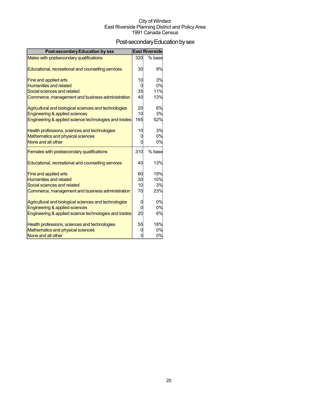## Post-secondary Education by sex

| <b>Post-secondary Education by sex</b>                                             |          | <b>East Riverside</b> |
|------------------------------------------------------------------------------------|----------|-----------------------|
| Males with postsecondary qualifications                                            | 320      | % base                |
|                                                                                    |          |                       |
| Educational, recreational and counselling services                                 | 30       | 9%                    |
|                                                                                    | 10       | 3%                    |
| Fine and applied arts<br><b>Humanities and related</b>                             | $\Omega$ | 0%                    |
| Social sciences and related                                                        | 35       | 11%                   |
| Commerce, management and business administration                                   | 40       | 13%                   |
|                                                                                    |          |                       |
| Agricultural and biological sciences and technologies                              | 20       | 6%                    |
| Engineering & applied sciences                                                     | 10       | 3%                    |
| Engineering & applied science technologies and trades                              | 165      | 52%                   |
|                                                                                    |          |                       |
| Health professions, sciences and technologies<br>Mathematics and physical sciences | 10<br>0  | 3%<br>0%              |
| None and all other                                                                 | O        | 0%                    |
|                                                                                    |          |                       |
| Females with postsecondary qualifications                                          | 310      | % base                |
|                                                                                    |          |                       |
| Educational, recreational and counselling services                                 | 40       | 13%                   |
| Fine and applied arts                                                              | 60       | 19%                   |
| Humanities and related                                                             | 30       | 10%                   |
| Social sciences and related                                                        | 10       | 3%                    |
| Commerce, management and business administration                                   | 70       | 23%                   |
|                                                                                    |          |                       |
| Agricultural and biological sciences and technologies                              | 0        | 0%                    |
| Engineering & applied sciences                                                     | 0        | 0%                    |
| Engineering & applied science technologies and trades                              | 20       | 6%                    |
| Health professions, sciences and technologies                                      | 55       | 18%                   |
| Mathematics and physical sciences                                                  | 0        | 0%                    |
| None and all other                                                                 | O        | 0%                    |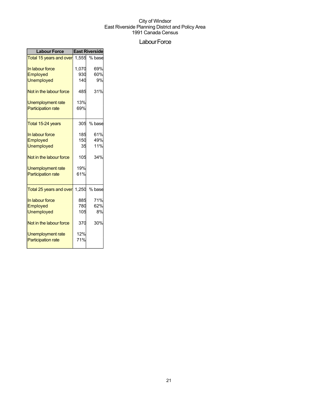## Labour Force

| <b>Labour Force</b>           | <b>East Riverside</b> |        |  |
|-------------------------------|-----------------------|--------|--|
| Total 15 years and over 1,555 |                       | % base |  |
| In labour force               | 1,070                 | 69%    |  |
| Employed                      | 930                   | 60%    |  |
| <b>Unemployed</b>             | 140                   | 9%     |  |
| Not in the labour force       | 485                   | 31%    |  |
| <b>Unemployment rate</b>      | 13%                   |        |  |
| <b>Participation rate</b>     | 69%                   |        |  |
| Total 15-24 years             | 305                   | % base |  |
| In labour force               | 185                   | 61%    |  |
| Employed                      | 150                   | 49%    |  |
| <b>Unemployed</b>             | 35                    | 11%    |  |
| Not in the labour force       | 105                   | 34%    |  |
| Unemployment rate             | 19%                   |        |  |
| <b>Participation rate</b>     | 61%                   |        |  |
| Total 25 years and over       | 1,250                 | % base |  |
| In labour force               | 885                   | 71%    |  |
| Employed                      | 780                   | 62%    |  |
| <b>Unemployed</b>             | 105                   | 8%     |  |
| Not in the labour force       | 370                   | 30%    |  |
| <b>Unemployment rate</b>      | 12%                   |        |  |
| <b>Participation rate</b>     | 71%                   |        |  |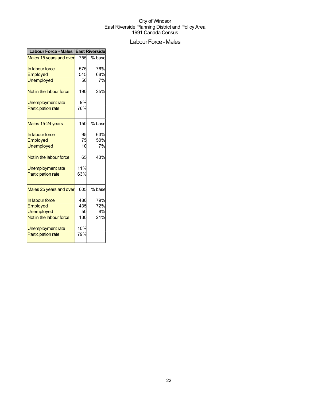## Labour Force - Males

| <b>Labour Force - Males   East Riverside</b> |     |        |  |
|----------------------------------------------|-----|--------|--|
| Males 15 years and over                      | 755 | % base |  |
| In labour force                              | 575 | 76%    |  |
| Employed                                     | 515 | 68%    |  |
| <b>Unemployed</b>                            | 50  | 7%     |  |
| Not in the labour force                      | 190 | 25%    |  |
| Unemployment rate                            | 9%  |        |  |
| <b>Participation rate</b>                    | 76% |        |  |
| Males 15-24 years                            | 150 | % base |  |
| In labour force                              | 95  | 63%    |  |
| Employed                                     | 75  | 50%    |  |
| <b>Unemployed</b>                            | 10  | 7%     |  |
| Not in the labour force                      | 65  | 43%    |  |
| <b>Unemployment rate</b>                     | 11% |        |  |
| <b>Participation rate</b>                    | 63% |        |  |
| Males 25 years and over                      | 605 | % base |  |
| In labour force                              | 480 | 79%    |  |
| Employed                                     | 435 | 72%    |  |
| <b>Unemployed</b>                            | 50  | 8%     |  |
| Not in the labour force                      | 130 | 21%    |  |
| Unemployment rate                            | 10% |        |  |
| <b>Participation rate</b>                    | 79% |        |  |
|                                              |     |        |  |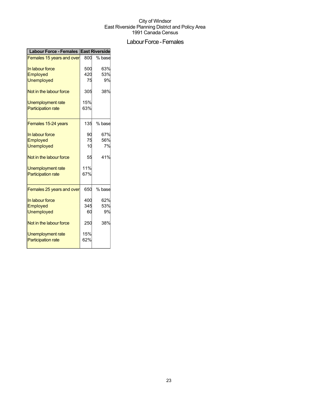## Labour Force - Females

| Labour Force - Females East Riverside |     |        |
|---------------------------------------|-----|--------|
| Females 15 years and over             | 800 | % base |
| In labour force                       | 500 | 63%    |
| Employed                              | 420 | 53%    |
| <b>Unemployed</b>                     | 75  | 9%     |
| Not in the labour force               | 305 | 38%    |
| Unemployment rate                     | 15% |        |
| <b>Participation rate</b>             | 63% |        |
| Females 15-24 years                   | 135 | % base |
| In labour force                       | 90  | 67%    |
| Employed                              | 75  | 56%    |
| <b>Unemployed</b>                     | 10  | 7%     |
| Not in the labour force               | 55  | 41%    |
| <b>Unemployment rate</b>              | 11% |        |
| <b>Participation rate</b>             | 67% |        |
| Females 25 years and over             | 650 | % base |
| In labour force                       | 400 | 62%    |
| Employed                              | 345 | 53%    |
| <b>Unemployed</b>                     | 60  | 9%     |
| Not in the labour force               | 250 | 38%    |
| Unemployment rate                     | 15% |        |
| <b>Participation rate</b>             | 62% |        |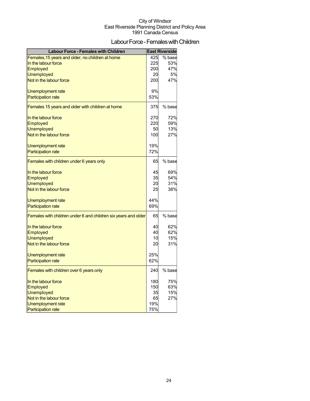## Labour Force - Females with Children

| <b>Labour Force - Females with Children</b>                    |     | <b>East Riverside</b> |
|----------------------------------------------------------------|-----|-----------------------|
| Females, 15 years and older, no children at home               | 425 | % base                |
| In the labour force                                            | 225 | 53%                   |
| <b>Employed</b>                                                | 200 | 47%                   |
| <b>Unemployed</b>                                              | 20  | 5%                    |
| Not in the labour force                                        | 200 | 47%                   |
| Unemployment rate                                              | 9%  |                       |
| <b>Participation rate</b>                                      | 53% |                       |
| Females 15 years and older with children at home               | 375 | % base                |
| In the labour force                                            | 270 | 72%                   |
| Employed                                                       | 220 | 59%                   |
| <b>Unemployed</b>                                              | 50  | 13%                   |
| Not in the labour force                                        | 100 | 27%                   |
| Unemployment rate                                              | 19% |                       |
| <b>Participation rate</b>                                      | 72% |                       |
| Females with children under 6 years only                       | 65  | % base                |
| In the labour force                                            | 45  | 69%                   |
| Employed                                                       | 35  | 54%                   |
| <b>Unemployed</b>                                              | 20  | 31%                   |
| Not in the labour force                                        | 25  | 38%                   |
| Unemployment rate                                              | 44% |                       |
| <b>Participation rate</b>                                      | 69% |                       |
| Females with children under 6 and children six years and older | 65  | % base                |
| In the labour force                                            | 40  | 62%                   |
| Employed                                                       | 40  | 62%                   |
| <b>Unemployed</b>                                              | 10  | 15%                   |
| Not in the labour force                                        | 20  | 31%                   |
| Unemployment rate                                              | 25% |                       |
| <b>Participation rate</b>                                      | 62% |                       |
| Females with children over 6 years only                        | 240 | % base                |
| In the labour force                                            | 180 | 75%                   |
| Employed                                                       | 150 | 63%                   |
| <b>Unemployed</b>                                              | 35  | 15%                   |
| Not in the labour force                                        | 65  | 27%                   |
| Unemployment rate                                              | 19% |                       |
| Participation rate                                             | 75% |                       |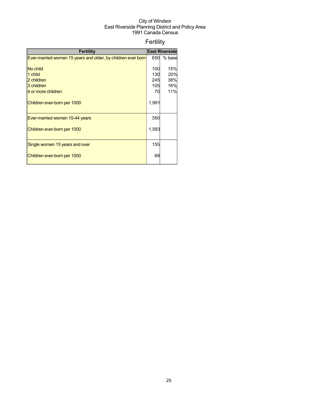## Fertility

| <b>Fertility</b>                                             |       | <b>East Riverside</b> |
|--------------------------------------------------------------|-------|-----------------------|
| Ever-married women 15 years and older, by children ever born | 650   | % base                |
|                                                              |       |                       |
| No child                                                     | 100   | 15%                   |
| 1 child                                                      | 130   | 20%                   |
| 2 children                                                   | 245   | 38%                   |
| 3 children                                                   | 105   | 16%                   |
| 4 or more children                                           | 70    | 11%                   |
| Children ever-born per 1000                                  | 1,991 |                       |
| Ever-married women 15-44 years                               | 350   |                       |
| Children ever-born per 1000                                  | 1,593 |                       |
| Single women 15 years and over                               | 155   |                       |
| Children ever-born per 1000                                  | 69    |                       |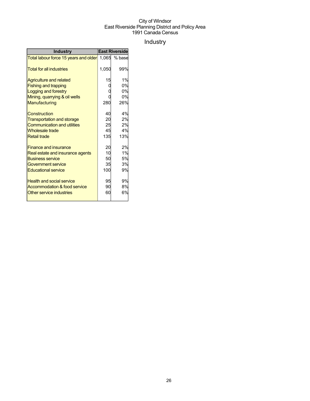## Industry

| <b>Industry</b>                         | <b>East Riverside</b> |        |  |
|-----------------------------------------|-----------------------|--------|--|
| Total labour force 15 years and older   | 1,065                 | % base |  |
| <b>Total for all industries</b>         | 1,050                 | 99%    |  |
| <b>Agriculture and related</b>          | 15                    | 1%     |  |
| <b>Fishing and trapping</b>             |                       | 0%     |  |
| Logging and forestry                    |                       | 0%     |  |
| Mining, quarrying & oil wells           |                       | 0%     |  |
| Manufacturing                           | 280                   | 26%    |  |
| Construction                            | 40                    | 4%     |  |
| <b>Transportation and storage</b>       | 20                    | 2%     |  |
| <b>Communication and utilities</b>      | 25                    | 2%     |  |
| <b>Wholesale trade</b>                  | 45                    | 4%     |  |
| <b>Retail trade</b>                     | 135                   | 13%    |  |
| <b>Finance and insurance</b>            | 20                    | 2%     |  |
| Real estate and insurance agents        | 10                    | 1%     |  |
| <b>Business service</b>                 | 50                    | 5%     |  |
| Government service                      | 35                    | 3%     |  |
| <b>Educational service</b>              | 100                   | 9%     |  |
| <b>Health and social service</b>        | 95                    | 9%     |  |
| <b>Accommodation &amp; food service</b> | 90                    | 8%     |  |
| Other service industries                | 60                    | 6%     |  |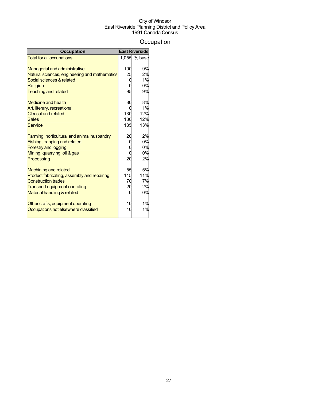## **Occupation**

| <b>Occupation</b>                                                           |       | <b>East Riverside</b> |
|-----------------------------------------------------------------------------|-------|-----------------------|
| <b>Total for all occupations</b>                                            | 1.055 | % base                |
|                                                                             |       |                       |
| <b>Managerial and administrative</b>                                        | 100   | 9%                    |
| Natural sciences, engineering and mathematics                               | 25    | 2%                    |
| Social sciences & related                                                   | 10    | 1%                    |
| Religion                                                                    |       | 0%                    |
| <b>Teaching and related</b>                                                 | 95    | 9%                    |
| <b>Medicine and health</b>                                                  | 80    | 8%                    |
| Art, literary, recreational                                                 | 10    | 1%                    |
| <b>Clerical and related</b>                                                 | 130   | 12%                   |
| <b>Sales</b>                                                                | 130   | 12%                   |
| Service                                                                     | 135   | 13%                   |
| Farming, horticultural and animal husbandry                                 | 20    | 2%                    |
| Fishing, trapping and related                                               |       | 0%                    |
| <b>Forestry and logging</b>                                                 |       | 0%                    |
| Mining, quarrying, oil & gas                                                |       | 0%                    |
| Processing                                                                  | 20    | 2%                    |
|                                                                             | 55    | 5%                    |
| <b>Machining and related</b><br>Product fabricating, assembly and repairing | 115   | 11%                   |
| <b>Construction trades</b>                                                  | 70    | 7%                    |
| <b>Transport equipment operating</b>                                        | 20    | 2%                    |
|                                                                             |       | 0%                    |
| Material handling & related                                                 |       |                       |
| Other crafts, equipment operating                                           | 10    | 1%                    |
| Occupations not elsewhere classified                                        | 10    | 1%                    |
|                                                                             |       |                       |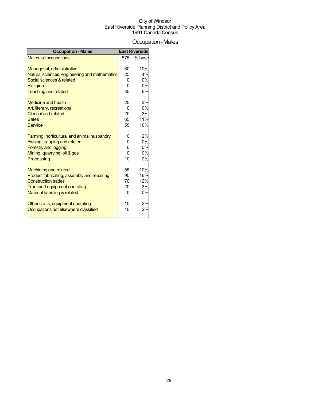## Occupation-Males

| <b>Occupation - Males</b>                     |             | <b>East Riverside</b> |
|-----------------------------------------------|-------------|-----------------------|
| Males, all occupations                        | 575         | % base                |
|                                               |             |                       |
| Managerial, administrative                    | 60          | 10%                   |
| Natural sciences, engineering and mathematics | 25          | 4%                    |
| Social sciences & related                     | 0           | 0%                    |
| <b>Religion</b>                               |             | 0%                    |
| <b>Teaching and related</b>                   | 35          | 6%                    |
| Medicine and health                           | 20          | 3%                    |
| Art, literary, recreational                   | C           | 0%                    |
| <b>Clerical and related</b>                   | 20          | 3%                    |
| <b>Sales</b>                                  | 65          | 11%                   |
| Service                                       | 55          | 10%                   |
| Farming, horticultural and animal husbandry   | 10          | 2%                    |
| Fishing, trapping and related                 | $\mathbf 0$ | 0%                    |
| <b>Forestry and logging</b>                   |             | 0%                    |
| Mining, quarrying, oil & gas                  | 0           | 0%                    |
| Processing                                    | 10          | 2%                    |
| <b>Machining and related</b>                  | 55          | 10%                   |
| Product fabricating, assembly and repairing   | 90          | 16%                   |
| <b>Construction trades</b>                    | 70          | 12%                   |
| <b>Transport equipment operating</b>          | 20          | 3%                    |
| Material handling & related                   | 0           | 0%                    |
| Other crafts, equipment operating             | 10          | 2%                    |
| Occupations not elsewhere classified          | 10          | 2%                    |
|                                               |             |                       |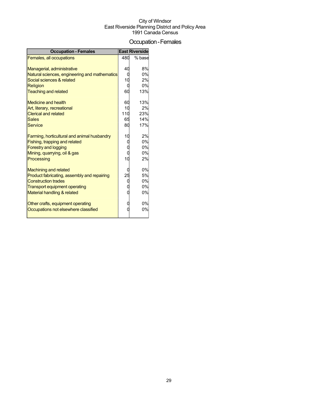## Occupation-Females

| <b>Occupation - Females</b>                   |     | <b>East Riverside</b> |
|-----------------------------------------------|-----|-----------------------|
| Females, all occupations                      | 480 | % base                |
|                                               |     |                       |
| Managerial, administrative                    | 40  | 8%                    |
| Natural sciences, engineering and mathematics | C   | 0%                    |
| Social sciences & related                     | 10  | 2%                    |
| <b>Religion</b>                               |     | 0%                    |
| <b>Teaching and related</b>                   | 60  | 13%                   |
| Medicine and health                           | 60  | 13%                   |
| Art, literary, recreational                   | 10  | 2%                    |
| <b>Clerical and related</b>                   | 110 | 23%                   |
| <b>Sales</b>                                  | 65  | 14%                   |
| Service                                       | 80  | 17%                   |
| Farming, horticultural and animal husbandry   | 10  | 2%                    |
| Fishing, trapping and related                 |     | 0%                    |
| <b>Forestry and logging</b>                   |     | 0%                    |
| Mining, quarrying, oil & gas                  |     | 0%                    |
| Processing                                    | 10  | 2%                    |
| <b>Machining and related</b>                  |     | 0%                    |
| Product fabricating, assembly and repairing   | 25  | 5%                    |
| <b>Construction trades</b>                    |     | 0%                    |
| <b>Transport equipment operating</b>          |     | 0%                    |
| Material handling & related                   |     | 0%                    |
| Other crafts, equipment operating             |     | 0%                    |
| Occupations not elsewhere classified          |     | 0%                    |
|                                               |     |                       |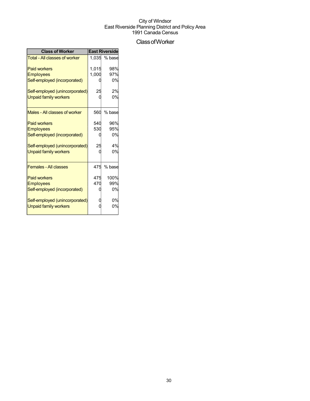## ClassofWorker

| <b>Class of Worker</b>               | <b>East Riverside</b> |        |  |
|--------------------------------------|-----------------------|--------|--|
| <b>Total - All classes of worker</b> | 1.035                 | % base |  |
| <b>Paid workers</b>                  | 1,015                 | 98%    |  |
| <b>Employees</b>                     | 1,000                 | 97%    |  |
| Self-employed (incorporated)         |                       | 0%     |  |
| Self-employed (unincorporated)       | 25                    | 2%     |  |
| <b>Unpaid family workers</b>         |                       | 0%     |  |
| Males - All classes of worker        | 560                   | % base |  |
| <b>Paid workers</b>                  | 540                   | 96%    |  |
| <b>Employees</b>                     | 530                   | 95%    |  |
| Self-employed (incorporated)         |                       | 0%     |  |
| Self-employed (unincorporated)       | 25                    | 4%     |  |
| <b>Unpaid family workers</b>         |                       | 0%     |  |
| <b>Females - All classes</b>         | 475                   | % base |  |
| <b>Paid workers</b>                  | 475                   | 100%   |  |
| <b>Employees</b>                     | 470                   | 99%    |  |
| Self-employed (incorporated)         |                       | 0%     |  |
| Self-employed (unincorporated)       |                       | 0%     |  |
| <b>Unpaid family workers</b>         |                       | 0%     |  |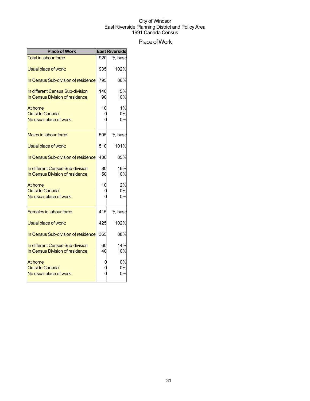## Place of Work

| <b>Place of Work</b>                                                | <b>East Riverside</b> |                |
|---------------------------------------------------------------------|-----------------------|----------------|
| <b>Total in labour force</b>                                        | 920                   | % base         |
| Usual place of work:                                                | 935                   | 102%           |
| In Census Sub-division of residence                                 | 795                   | 86%            |
| In different Census Sub-division<br>In Census Division of residence | 140<br>90             | 15%<br>10%     |
| At home<br><b>Outside Canada</b><br>No usual place of work          | 10                    | 1%<br>0%<br>0% |
| Males in labour force                                               | 505                   | % base         |
| Usual place of work:                                                | 510                   | 101%           |
| In Census Sub-division of residence                                 | 430                   | 85%            |
| In different Census Sub-division<br>In Census Division of residence | 80<br>50              | 16%<br>10%     |
| At home<br><b>Outside Canada</b><br>No usual place of work          | 10                    | 2%<br>0%<br>0% |
| <b>Females in labour force</b>                                      | 415                   | % base         |
| Usual place of work:                                                | 425                   | 102%           |
| In Census Sub-division of residence                                 | 365                   | 88%            |
| In different Census Sub-division<br>In Census Division of residence | 60<br>40              | 14%<br>10%     |
| At home<br><b>Outside Canada</b><br>No usual place of work          |                       | 0%<br>0%<br>0% |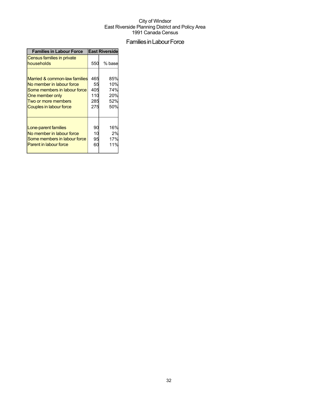## Families in Labour Force

| <b>Families in Labour Force</b>          |     | <b>East Riverside</b> |
|------------------------------------------|-----|-----------------------|
| Census families in private<br>households | 550 | % base                |
| Married & common-law families            | 465 | 85%                   |
| No member in labour force                | 55  | 10%                   |
| Some members in labour force             | 405 | 74%                   |
| One member only                          | 110 | 20%                   |
| Two or more members                      | 285 | 52%                   |
| Couples in labour force                  | 275 | 50%                   |
| Lone-parent families                     | 90  | 16%                   |
| No member in labour force                | 10  | 2%                    |
| Some members in labour force             | 95  | 17%                   |
| <b>Parent in labour force</b>            | 60  | 11%                   |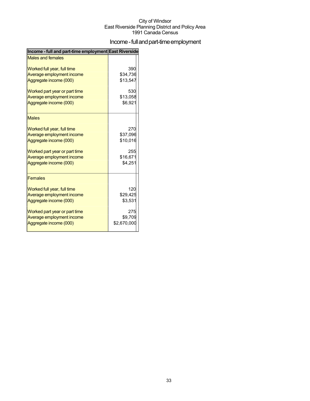## Income - full and part-time employment

| Income - full and part-time employment East Riverside |             |
|-------------------------------------------------------|-------------|
| <b>Males and females</b>                              |             |
| Worked full year, full time                           | 390         |
| Average employment income                             | \$34,736    |
| Aggregate income (000)                                | \$13,547    |
| Worked part year or part time                         | 530         |
| Average employment income                             | \$13,058    |
| Aggregate income (000)                                | \$6,921     |
| <b>Males</b>                                          |             |
| Worked full year, full time                           | 270         |
| Average employment income                             | \$37,096    |
| Aggregate income (000)                                | \$10,016    |
| Worked part year or part time                         | 255         |
| Average employment income                             | \$16,671    |
| Aggregate income (000)                                | \$4,251     |
| <b>Females</b>                                        |             |
| Worked full year, full time                           | 120         |
| Average employment income                             | \$29,425    |
| Aggregate income (000)                                | \$3,531     |
| Worked part year or part time                         | 275         |
| Average employment income                             | \$9,709     |
| Aggregate income (000)                                | \$2,670,000 |
|                                                       |             |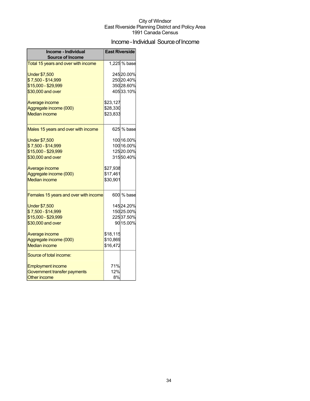## Income - Individual Source of Income

| Income - Individual                   | <b>East Riverside</b> |              |
|---------------------------------------|-----------------------|--------------|
| <b>Source of Income</b>               |                       |              |
| Total 15 years and over with income   |                       | 1,225 % base |
| <b>Under \$7,500</b>                  |                       | 24520.00%    |
| \$7,500 - \$14,999                    |                       | 25020.40%    |
| \$15,000 - \$29,999                   |                       | 35028.60%    |
| \$30,000 and over                     |                       | 40533.10%    |
| Average income                        | \$23,127              |              |
| Aggregate income (000)                | \$28,330              |              |
| <b>Median income</b>                  | \$23,833              |              |
| Males 15 years and over with income   |                       | 625 % base   |
| <b>Under \$7,500</b>                  |                       | 100 16.00%   |
| \$7,500 - \$14,999                    |                       | 100 16.00%   |
| \$15,000 - \$29,999                   |                       | 12520.00%    |
| \$30,000 and over                     |                       | 31550.40%    |
| Average income                        | \$27,938              |              |
| Aggregate income (000)                | \$17,461              |              |
| <b>Median income</b>                  | \$30,901              |              |
| Females 15 years and over with income |                       | 600 % base   |
| <b>Under \$7,500</b>                  |                       | 14524.20%    |
| \$7,500 - \$14,999                    |                       | 15025.00%    |
| \$15,000 - \$29,999                   |                       | 22537.50%    |
| \$30,000 and over                     |                       | 90 15.00%    |
| Average income                        | \$18,115              |              |
| Aggregate income (000)                | \$10,869              |              |
| <b>Median income</b>                  | \$16,472              |              |
| Source of total income:               |                       |              |
| <b>Employment income</b>              | 71%                   |              |
| Government transfer payments          | 12%                   |              |
| <b>Other income</b>                   | 8%                    |              |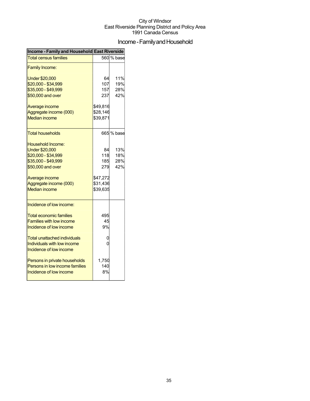## Income - Family and Household

| Income - Family and Household East Riverside                                                                                                                                      |                                                             |                          |
|-----------------------------------------------------------------------------------------------------------------------------------------------------------------------------------|-------------------------------------------------------------|--------------------------|
| <b>Total census families</b>                                                                                                                                                      |                                                             | 560 % base               |
| <b>Family Income:</b>                                                                                                                                                             |                                                             |                          |
| <b>Under \$20,000</b><br>\$20,000 - \$34,999                                                                                                                                      | 64<br>107                                                   | 11%<br>19%               |
| \$35,000 - \$49,999                                                                                                                                                               | 157                                                         | 28%                      |
| \$50,000 and over                                                                                                                                                                 | 237                                                         | 42%                      |
| Average income<br>Aggregate income (000)<br><b>Median income</b>                                                                                                                  | \$49,816<br>\$28,146<br>\$39,871                            |                          |
| Total households                                                                                                                                                                  |                                                             | 665 % base               |
| Household Income:<br><b>Under \$20,000</b><br>\$20,000 - \$34,999<br>\$35,000 - \$49,999<br>\$50,000 and over<br>Average income<br>Aggregate income (000)<br><b>Median income</b> | 84<br>118<br>185<br>279<br>\$47,272<br>\$31,436<br>\$39,635 | 13%<br>18%<br>28%<br>42% |
| Incidence of low income:<br><b>Total economic families</b><br><b>Families with low income</b><br>Incidence of low income                                                          | 495<br>45<br>9%                                             |                          |
| Total unattached individuals<br>Individuals with low income<br>Incidence of low income                                                                                            | 0<br>0                                                      |                          |
| Persons in private households<br>Persons in low income families<br>Incidence of low income                                                                                        | 1,750<br>140<br>8%                                          |                          |